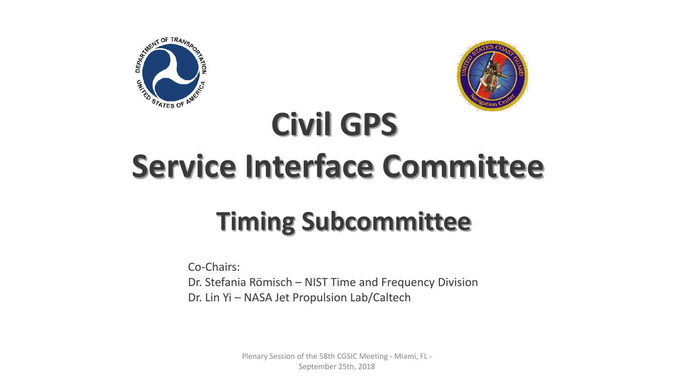



# **Civil GPS Service Interface Committee**

### **Timing Subcommittee**

Co-Chairs: Dr. Stefania Römisch – NIST Time and Frequency Division Dr. Lin Yi – NASA Jet Propulsion Lab/Caltech

> Plenary Session of the 58th CGSIC Meeting - Miami, FL - September 25th, 2018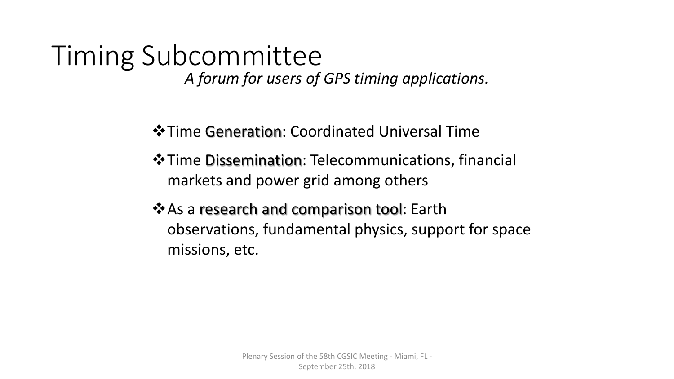### Timing Subcommittee *A forum for users of GPS timing applications.*

 $\cdot$  **Time Generation: Coordinated Universal Time** 

- $\dots$  Time Dissemination: Telecommunications, financial markets and power grid among others
- **\*** As a research and comparison tool: Earth observations, fundamental physics, support for space missions, etc.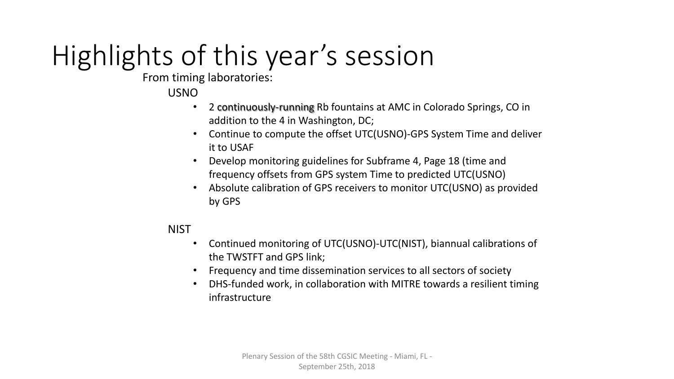### Highlights of this year's session

From timing laboratories:

#### USNO

- 2 continuously-running Rb fountains at AMC in Colorado Springs, CO in addition to the 4 in Washington, DC;
- Continue to compute the offset UTC(USNO)-GPS System Time and deliver it to USAF
- Develop monitoring guidelines for Subframe 4, Page 18 (time and frequency offsets from GPS system Time to predicted UTC(USNO)
- Absolute calibration of GPS receivers to monitor UTC(USNO) as provided by GPS

#### **NIST**

- Continued monitoring of UTC(USNO)-UTC(NIST), biannual calibrations of the TWSTFT and GPS link;
- Frequency and time dissemination services to all sectors of society
- DHS-funded work, in collaboration with MITRE towards a resilient timing infrastructure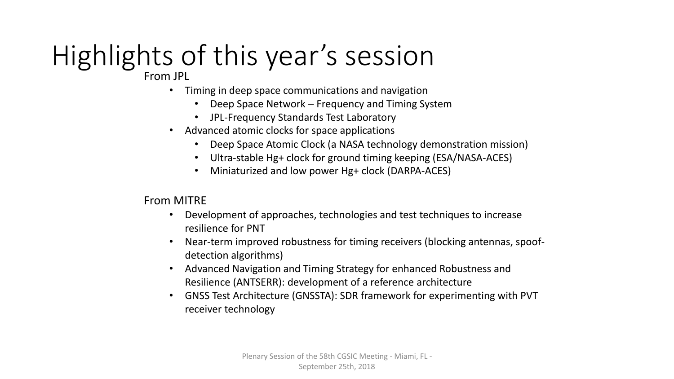## Highlights of this year's session

From JPL

- Timing in deep space communications and navigation
	- Deep Space Network Frequency and Timing System
	- JPL-Frequency Standards Test Laboratory
- Advanced atomic clocks for space applications
	- Deep Space Atomic Clock (a NASA technology demonstration mission)
	- Ultra-stable Hg+ clock for ground timing keeping (ESA/NASA-ACES)
	- Miniaturized and low power Hg+ clock (DARPA-ACES)

From MITRE

- Development of approaches, technologies and test techniques to increase resilience for PNT
- Near-term improved robustness for timing receivers (blocking antennas, spoofdetection algorithms)
- Advanced Navigation and Timing Strategy for enhanced Robustness and Resilience (ANTSERR): development of a reference architecture
- GNSS Test Architecture (GNSSTA): SDR framework for experimenting with PVT receiver technology